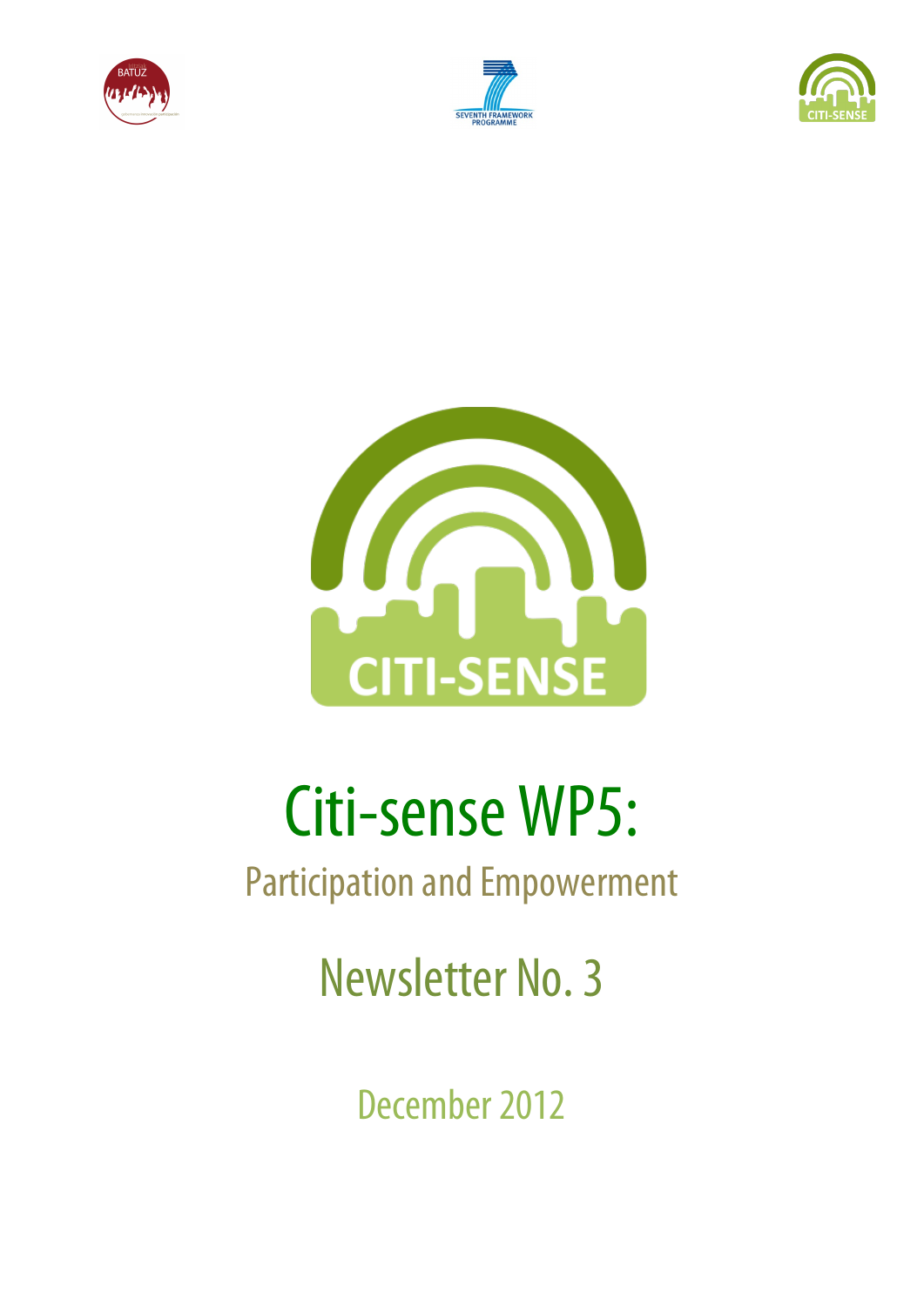







# Citi-sense WP5:

# Participation and Empowerment

Newsletter No. 3

December 2012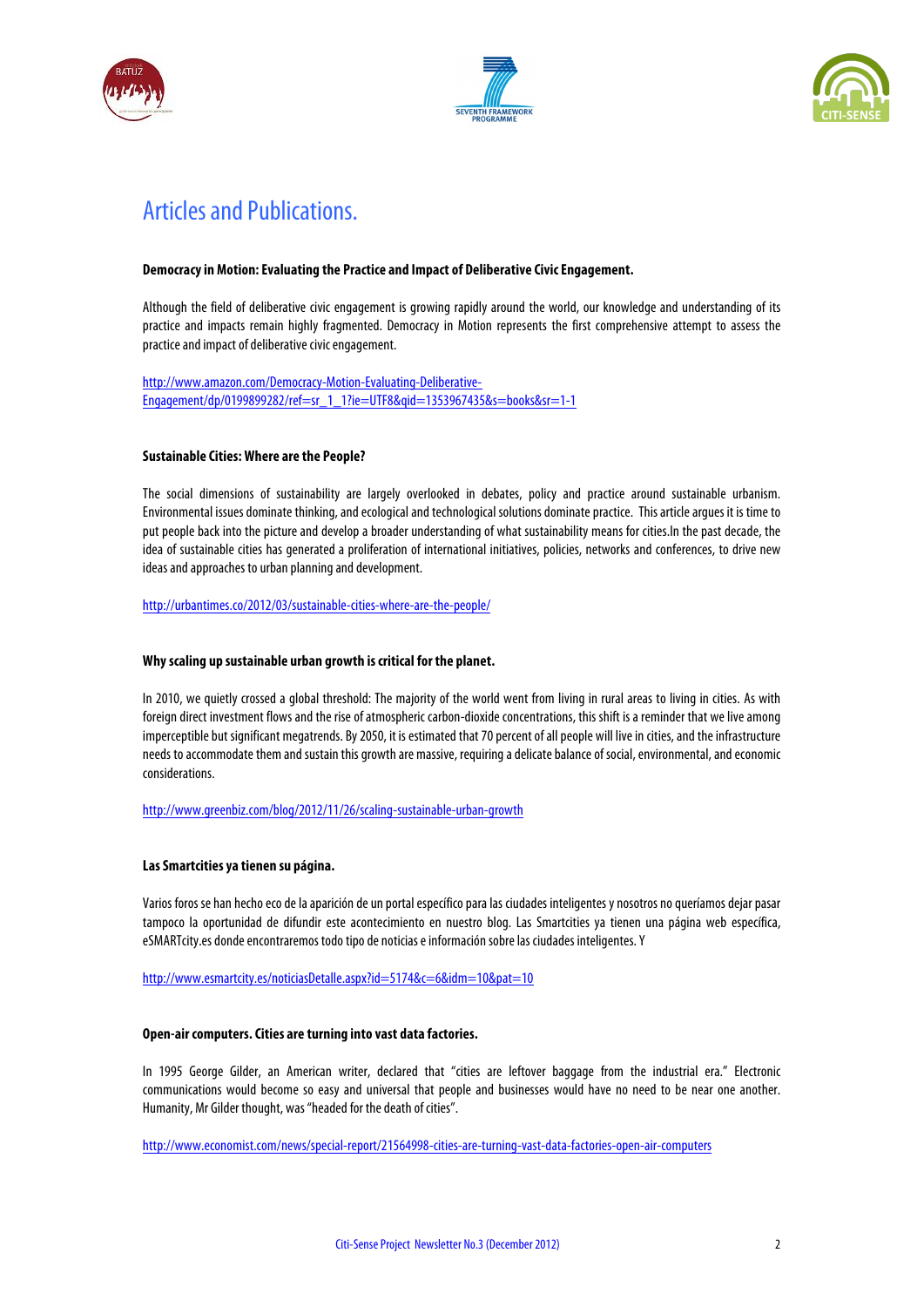





## Articles and Publications.

#### **Democracy in Motion: Evaluating the Practice and Impact of Deliberative Civic Engagement.**

Although the field of deliberative civic engagement is growing rapidly around the world, our knowledge and understanding of its practice and impacts remain highly fragmented. Democracy in Motion represents the first comprehensive attempt to assess the practice and impact of deliberative civic engagement.

http://www.amazon.com/Democracy-Motion-Evaluating-Deliberative-Engagement/dp/0199899282/ref=sr\_1\_1?ie=UTF8&qid=1353967435&s=books&sr=1-1

#### **Sustainable Cities: Where are the People?**

The social dimensions of sustainability are largely overlooked in debates, policy and practice around sustainable urbanism. Environmental issues dominate thinking, and ecologicaland technological solutions dominate practice. This article argues it is time to put people back into the picture and develop a broader understanding of what sustainability means for cities.In the past decade, the idea of sustainable cities has generated a proliferation of international initiatives, policies, networks and conferences, to drive new ideas and approaches to urban planning and development.

http://urbantimes.co/2012/03/sustainable-cities-where-are-the-people/

#### **Why scaling up sustainable urban growth is critical for the planet.**

In 2010, we quietly crossed a global threshold: The majority of the world went from living in rural areas to living in cities. As with foreign direct investment flows and the rise of atmospheric carbon-dioxide concentrations, this shift is a reminder that we live among imperceptible but significant megatrends. By 2050, it is estimated that 70 percent of all people will live in cities, and the infrastructure needs to accommodate them and sustain this growth are massive, requiring a delicate balance of social, environmental, and economic considerations.

http://www.greenbiz.com/blog/2012/11/26/scaling-sustainable-urban-growth

#### **Las Smartcities ya tienen su página.**

Varios foros se han hecho eco de la aparición de un portal específico para las ciudades inteligentes y nosotros no queríamos dejar pasar tampoco la oportunidad de difundir este acontecimiento en nuestro blog. Las Smartcities ya tienen una página web específica, eSMARTcity.es donde encontraremos todo tipo de noticias e información sobre las ciudades inteligentes. Y

http://www.esmartcity.es/noticiasDetalle.aspx?id=5174&c=6&idm=10&pat=10

#### **Open-air computers. Cities are turning into vast data factories.**

In 1995 George Gilder, an American writer, declared that "cities are leftover baggage from the industrial era." Electronic communications would become so easy and universal that people and businesses would have no need to be near one another. Humanity, Mr Gilder thought, was "headed for the death of cities".

http://www.economist.com/news/special-report/21564998-cities-are-turning-vast-data-factories-open-air-computers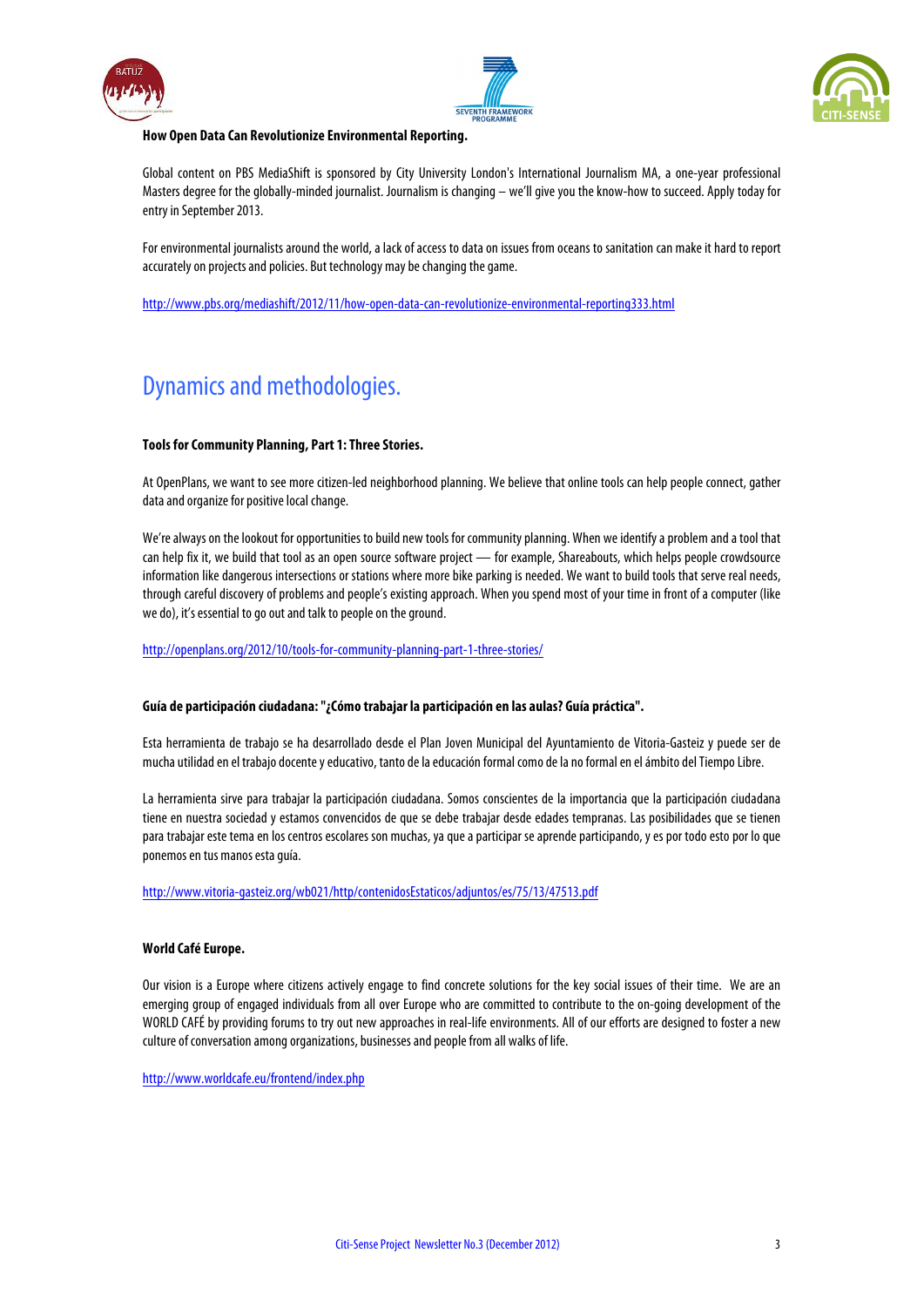





#### **How Open Data Can Revolutionize Environmental Reporting.**

Global content on PBS MediaShift is sponsored by City University London's International Journalism MA, a one-year professional Masters degree for the globally-minded journalist. Journalism is changing – we'll give you the know-how to succeed. Apply today for entry in September 2013.

For environmental journalists around the world, a lack of access to data on issues from oceans to sanitation can make it hard to report accurately on projects and policies. But technology may be changing the game.

http://www.pbs.org/mediashift/2012/11/how-open-data-can-revolutionize-environmental-reporting333.html

## Dynamics and methodologies.

#### **Tools for Community Planning, Part 1: Three Stories.**

At OpenPlans, we want to see more citizen-led neighborhood planning. We believe that online tools can help people connect, gather data and organize for positive local change.

We're always on the lookout for opportunities to build new tools for community planning. When we identify a problem and a tool that can help fix it, we build that tool as an open source software project — for example, Shareabouts, which helps people crowdsource information like dangerous intersections or stations where more bike parking is needed. We want to build tools that serve real needs, through careful discovery of problems and people's existing approach. When you spend most of your time in front of a computer (like we do), it's essential to go out and talk to people on the ground.

http://openplans.org/2012/10/tools-for-community-planning-part-1-three-stories/

#### **Guía de participación ciudadana: "¿Cómo trabajar la participación en las aulas? Guía práctica".**

Esta herramienta de trabajo se ha desarrollado desde el Plan Joven Municipal del Ayuntamiento de Vitoria-Gasteiz y puede ser de mucha utilidad en el trabajo docente y educativo, tanto de la educación formal como de la no formal en el ámbito del Tiempo Libre.

La herramienta sirve para trabajar la participación ciudadana. Somos conscientes de la importancia que la participación ciudadana tiene en nuestra sociedad y estamos convencidos de que se debe trabajar desde edades tempranas. Las posibilidades que se tienen para trabajar este tema en los centros escolares son muchas, ya que a participar se aprende participando, y es por todo esto por lo que ponemos en tus manos esta guía.

http://www.vitoria-gasteiz.org/wb021/http/contenidosEstaticos/adjuntos/es/75/13/47513.pdf

#### **World Café Europe.**

Our vision is a Europe where citizens actively engage to find concrete solutions for the key social issues of their time. We are an emerging group of engaged individuals from all over Europe who are committed to contribute to the on-going development of the WORLD CAFÉ by providing forums to try out new approaches in real-life environments. All of our efforts are designed to foster a new culture of conversation among organizations, businesses and people from all walks of life.

http://www.worldcafe.eu/frontend/index.php